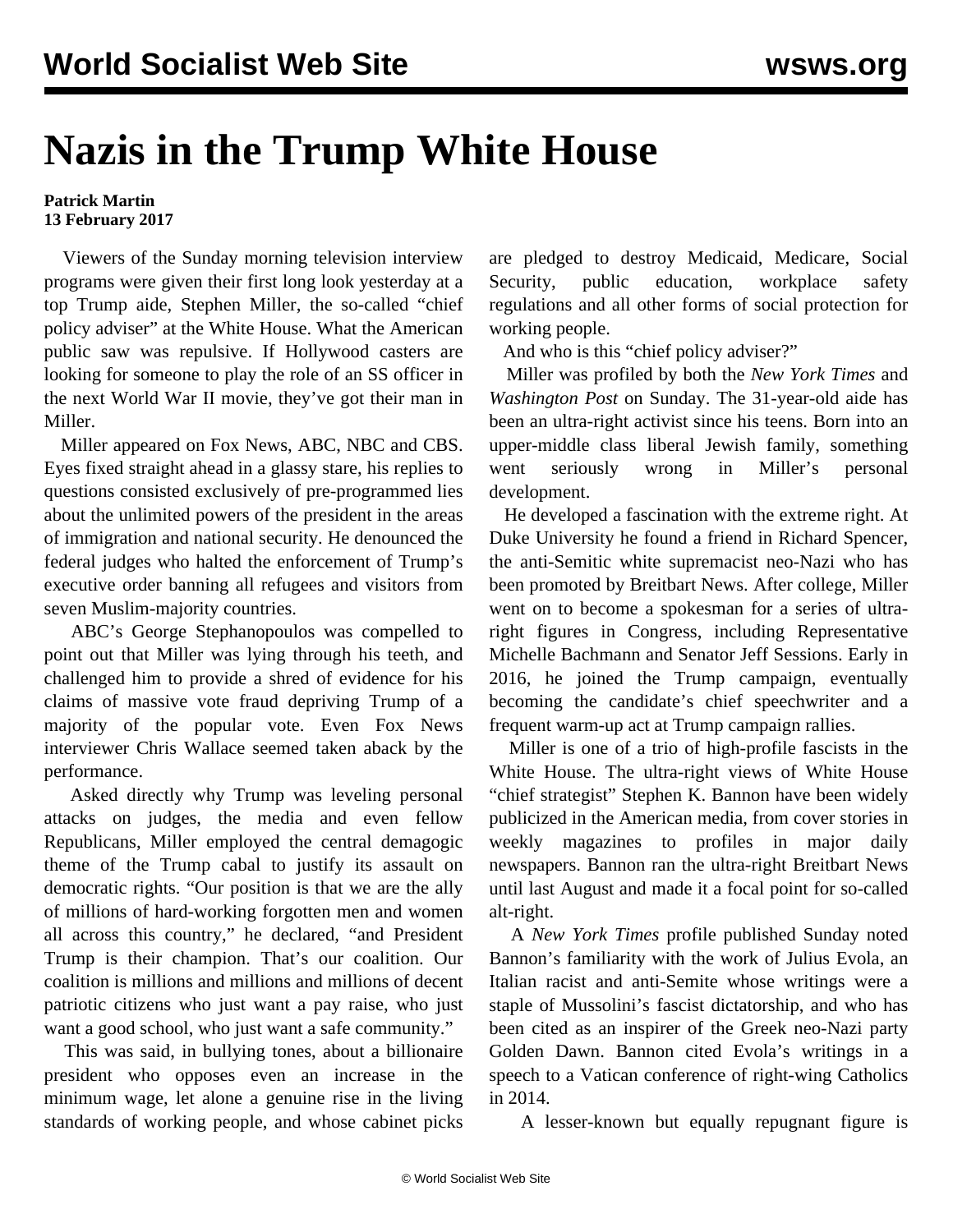## **Nazis in the Trump White House**

## **Patrick Martin 13 February 2017**

 Viewers of the Sunday morning television interview programs were given their first long look yesterday at a top Trump aide, Stephen Miller, the so-called "chief policy adviser" at the White House. What the American public saw was repulsive. If Hollywood casters are looking for someone to play the role of an SS officer in the next World War II movie, they've got their man in Miller.

 Miller appeared on Fox News, ABC, NBC and CBS. Eyes fixed straight ahead in a glassy stare, his replies to questions consisted exclusively of pre-programmed lies about the unlimited powers of the president in the areas of immigration and national security. He denounced the federal judges who halted the enforcement of Trump's executive order banning all refugees and visitors from seven Muslim-majority countries.

 ABC's George Stephanopoulos was compelled to point out that Miller was lying through his teeth, and challenged him to provide a shred of evidence for his claims of massive vote fraud depriving Trump of a majority of the popular vote. Even Fox News interviewer Chris Wallace seemed taken aback by the performance.

 Asked directly why Trump was leveling personal attacks on judges, the media and even fellow Republicans, Miller employed the central demagogic theme of the Trump cabal to justify its assault on democratic rights. "Our position is that we are the ally of millions of hard-working forgotten men and women all across this country," he declared, "and President Trump is their champion. That's our coalition. Our coalition is millions and millions and millions of decent patriotic citizens who just want a pay raise, who just want a good school, who just want a safe community."

 This was said, in bullying tones, about a billionaire president who opposes even an increase in the minimum wage, let alone a genuine rise in the living standards of working people, and whose cabinet picks are pledged to destroy Medicaid, Medicare, Social Security, public education, workplace safety regulations and all other forms of social protection for working people.

And who is this "chief policy adviser?"

 Miller was profiled by both the *New York Times* and *Washington Post* on Sunday. The 31-year-old aide has been an ultra-right activist since his teens. Born into an upper-middle class liberal Jewish family, something went seriously wrong in Miller's personal development.

 He developed a fascination with the extreme right. At Duke University he found a friend in Richard Spencer, the anti-Semitic white supremacist neo-Nazi who has been promoted by Breitbart News. After college, Miller went on to become a spokesman for a series of ultraright figures in Congress, including Representative Michelle Bachmann and Senator Jeff Sessions. Early in 2016, he joined the Trump campaign, eventually becoming the candidate's chief speechwriter and a frequent warm-up act at Trump campaign rallies.

 Miller is one of a trio of high-profile fascists in the White House. The ultra-right views of White House "chief strategist" Stephen K. Bannon have been widely publicized in the American media, from cover stories in weekly magazines to profiles in major daily newspapers. Bannon ran the ultra-right Breitbart News until last August and made it a focal point for so-called alt-right.

 A *New York Times* profile published Sunday noted Bannon's familiarity with the work of Julius Evola, an Italian racist and anti-Semite whose writings were a staple of Mussolini's fascist dictatorship, and who has been cited as an inspirer of the Greek neo-Nazi party Golden Dawn. Bannon cited Evola's writings in a speech to a Vatican conference of right-wing Catholics in 2014.

A lesser-known but equally repugnant figure is